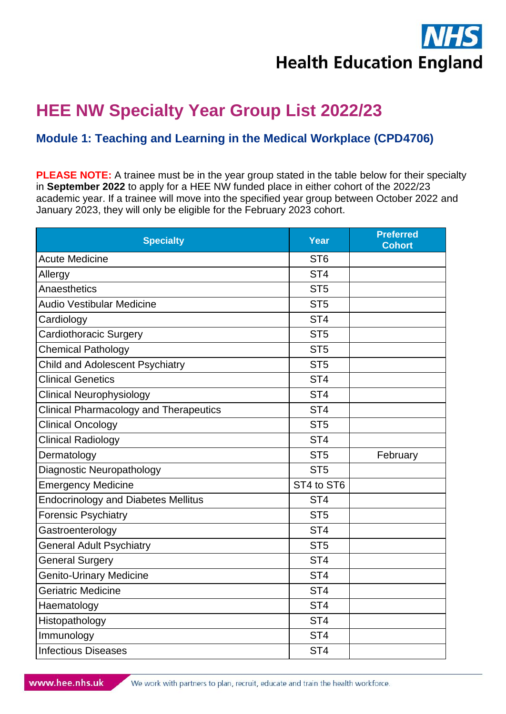

## **HEE NW Specialty Year Group List 2022/23**

## **Module 1: Teaching and Learning in the Medical Workplace (CPD4706)**

**PLEASE NOTE:** A trainee must be in the year group stated in the table below for their specialty in **September 2022** to apply for a HEE NW funded place in either cohort of the 2022/23 academic year. If a trainee will move into the specified year group between October 2022 and January 2023, they will only be eligible for the February 2023 cohort.

| <b>Specialty</b>                              | Year            | <b>Preferred</b><br><b>Cohort</b> |
|-----------------------------------------------|-----------------|-----------------------------------|
| <b>Acute Medicine</b>                         | ST <sub>6</sub> |                                   |
| Allergy                                       | ST <sub>4</sub> |                                   |
| Anaesthetics                                  | ST <sub>5</sub> |                                   |
| <b>Audio Vestibular Medicine</b>              | ST <sub>5</sub> |                                   |
| Cardiology                                    | ST <sub>4</sub> |                                   |
| Cardiothoracic Surgery                        | ST <sub>5</sub> |                                   |
| <b>Chemical Pathology</b>                     | ST <sub>5</sub> |                                   |
| <b>Child and Adolescent Psychiatry</b>        | ST <sub>5</sub> |                                   |
| <b>Clinical Genetics</b>                      | ST <sub>4</sub> |                                   |
| <b>Clinical Neurophysiology</b>               | ST <sub>4</sub> |                                   |
| <b>Clinical Pharmacology and Therapeutics</b> | ST <sub>4</sub> |                                   |
| <b>Clinical Oncology</b>                      | ST <sub>5</sub> |                                   |
| <b>Clinical Radiology</b>                     | ST <sub>4</sub> |                                   |
| Dermatology                                   | ST <sub>5</sub> | February                          |
| Diagnostic Neuropathology                     | ST <sub>5</sub> |                                   |
| <b>Emergency Medicine</b>                     | ST4 to ST6      |                                   |
| <b>Endocrinology and Diabetes Mellitus</b>    | ST <sub>4</sub> |                                   |
| <b>Forensic Psychiatry</b>                    | ST <sub>5</sub> |                                   |
| Gastroenterology                              | ST <sub>4</sub> |                                   |
| <b>General Adult Psychiatry</b>               | ST <sub>5</sub> |                                   |
| <b>General Surgery</b>                        | ST <sub>4</sub> |                                   |
| <b>Genito-Urinary Medicine</b>                | ST <sub>4</sub> |                                   |
| Geriatric Medicine                            | ST <sub>4</sub> |                                   |
| Haematology                                   | ST <sub>4</sub> |                                   |
| Histopathology                                | ST <sub>4</sub> |                                   |
| Immunology                                    | ST <sub>4</sub> |                                   |
| <b>Infectious Diseases</b>                    | ST <sub>4</sub> |                                   |

We work with partners to plan, recruit, educate and train the health workforce.